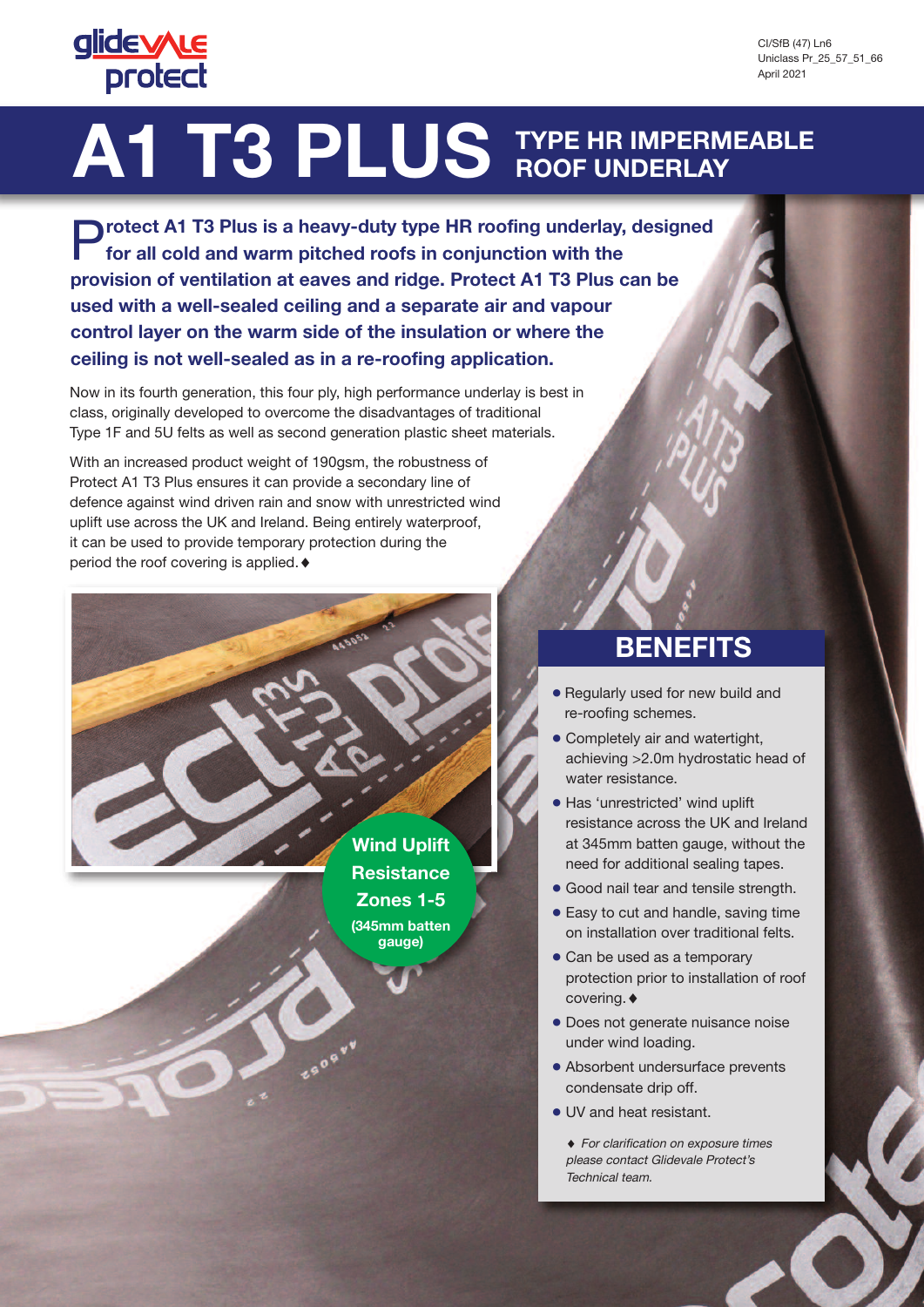## **glidevyLe protect**

# **A1 T3 PLUS TYPE HR IMPERMEABLE ROOF UNDERLAY**

P**rotect A1 T3 Plus is <sup>a</sup> heavy-duty type HR roofing underlay, designed for all cold and warm pitched roofs in conjunction with the provision of ventilation at eaves and ridge. Protect A1 T3 Plus can be used with a well-sealed ceiling and a separate air and vapour control layer on the warm side of the insulation or where the ceiling is not well-sealed as in a re-roofing application.**

Now in its fourth generation, this four ply, high performance underlay is best in class, originally developed to overcome the disadvantages of traditional Type 1F and 5U felts as well as second generation plastic sheet materials.

With an increased product weight of 190gsm, the robustness of Protect A1 T3 Plus ensures it can provide a secondary line of defence against wind driven rain and snow with unrestricted wind uplift use across the UK and Ireland. Being entirely waterproof, it can be used to provide temporary protection during the period the roof covering is applied.  $\blacklozenge$ 

> **Wind Uplift Resistance Zones 1-5 (345mm batten gauge)**

### **BENEFITS**

- **●** Regularly used for new build and re-roofing schemes.
- **●** Completely air and watertight, achieving >2.0m hydrostatic head of water resistance.
- **●** Has 'unrestricted' wind uplift resistance across the UK and Ireland at 345mm batten gauge, without the need for additional sealing tapes.
- **●** Good nail tear and tensile strength.
- **●** Easy to cut and handle, saving time on installation over traditional felts.
- **●** Can be used as a temporary protection prior to installation of roof covering.
- **●** Does not generate nuisance noise under wind loading.
- **●** Absorbent undersurface prevents condensate drip off.
- **●** UV and heat resistant.

◆ For clarification on exposure times please contact Glidevale Protect's Technical team.